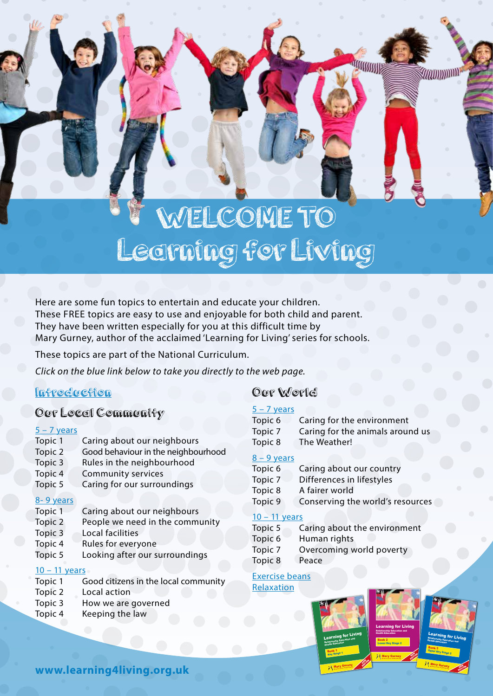# WELCOME TO Learning for Living

Here are some fun topics to entertain and educate your children. These FREE topics are easy to use and enjoyable for both child and parent. They have been written especially for you at this difficult time by Mary Gurney, author of the acclaimed 'Learning for Living' series for schools.

These topics are part of the National Curriculum.

*Click on the blue link below to take you directly to the web page.*

## [Introduction](https://learning4living.org.uk/wp-content/uploads/2020/04/Introduction.pdf)

# Our Local Community

#### $5 - 7$  years

| Topic 1 | Caring about our neighbours         |
|---------|-------------------------------------|
| Topic 2 | Good behaviour in the neighbourhood |
| Topic 3 | Rules in the neighbourhood          |
| Topic 4 | <b>Community services</b>           |
| Topic 5 | Caring for our surroundings         |
|         |                                     |

#### [8- 9 years](https://learning4living.org.uk/wp-content/uploads/2020/04/8-9-Years-Our-local-community.pdf)

- Topic 1 Caring about our neighbours
- Topic 2 People we need in the community
- Topic 3 Local facilities
- Topic 4 Rules for everyone
- Topic 5 Looking after our surroundings

### [10 – 11 years](https://learning4living.org.uk/wp-content/uploads/2020/04/10-11-Years-Our-local-community.pdf)

- Topic 1 Good citizens in the local community
- Topic 2 Local action
- Topic 3 How we are governed
- Topic 4 Keeping the law

# Our World

#### $5 - 7$  years

| Topic 6 | Caring for the environment       |  |
|---------|----------------------------------|--|
| Topic 7 | Caring for the animals around us |  |
| Topic 8 | The Weather!                     |  |

*<u><b>ATTERSSORIES</u>* 

*MADITIONITI* 

#### [8 – 9 years](https://learning4living.org.uk/wp-content/uploads/2020/05/8-9-Years-Our-world.pdf)

| Topic 6 | Caring about our country         |
|---------|----------------------------------|
| Topic 7 | Differences in lifestyles        |
| Topic 8 | A fairer world                   |
| Topic 9 | Conserving the world's resources |
|         |                                  |

#### [10 – 11 years](https://learning4living.org.uk/wp-content/uploads/2020/04/10-11-Years-Our-world.pdf)

| Topic 5 | Caring about the environment |
|---------|------------------------------|
| Topic 6 | Human rights                 |
| Topic 7 | Overcoming world poverty     |
| Topic 8 | Peace                        |

#### [Exercise beans](https://learning4living.org.uk/wp-content/uploads/2020/04/Exercise-Beans.pdf) [Relaxation](https://learning4living.org.uk/wp-content/uploads/2020/04/Relaxation.pdf)